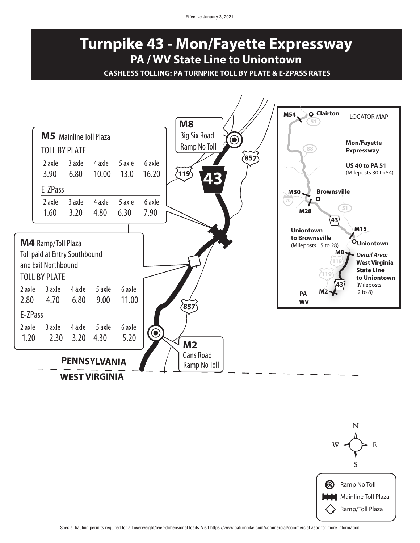## Effective January 3, 2021

## **Turnpike 43 - Mon/Fayette Expressway PA / WV State Line to Uniontown**

**CASHLESS TOLLING: PA TURNPIKE TOLL BY PLATE & E-ZPASS RATES**



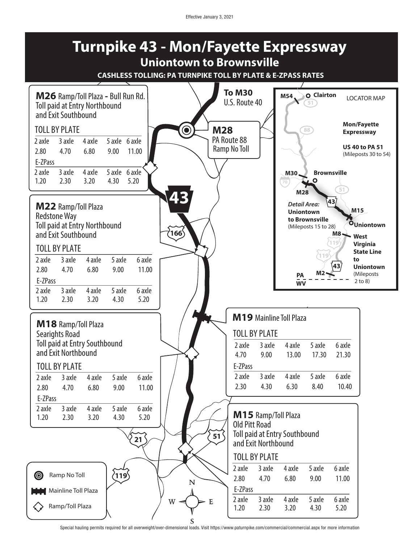

Special hauling permits required for all overweight/over-dimensional loads. Visit https://www.paturnpike.com/commercial/commercial.aspx for more information